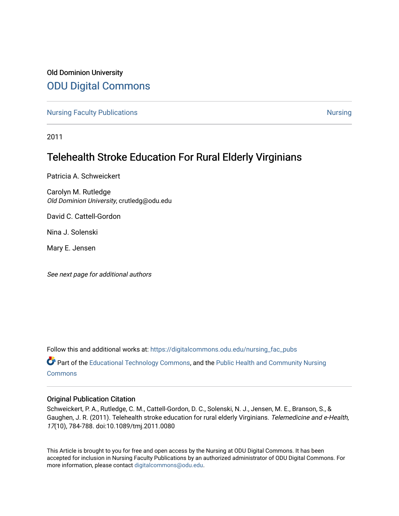# Old Dominion University [ODU Digital Commons](https://digitalcommons.odu.edu/)

[Nursing Faculty Publications](https://digitalcommons.odu.edu/nursing_fac_pubs) **[Nursing](https://digitalcommons.odu.edu/nursing) Faculty Publications** Nursing Nursing Nursing Nursing Nursing Nursing Nursing

2011

# Telehealth Stroke Education For Rural Elderly Virginians

Patricia A. Schweickert

Carolyn M. Rutledge Old Dominion University, crutledg@odu.edu

David C. Cattell-Gordon

Nina J. Solenski

Mary E. Jensen

See next page for additional authors

Follow this and additional works at: [https://digitalcommons.odu.edu/nursing\\_fac\\_pubs](https://digitalcommons.odu.edu/nursing_fac_pubs?utm_source=digitalcommons.odu.edu%2Fnursing_fac_pubs%2F35&utm_medium=PDF&utm_campaign=PDFCoverPages)

Part of the [Educational Technology Commons,](http://network.bepress.com/hgg/discipline/1415?utm_source=digitalcommons.odu.edu%2Fnursing_fac_pubs%2F35&utm_medium=PDF&utm_campaign=PDFCoverPages) and the [Public Health and Community Nursing](http://network.bepress.com/hgg/discipline/725?utm_source=digitalcommons.odu.edu%2Fnursing_fac_pubs%2F35&utm_medium=PDF&utm_campaign=PDFCoverPages)  [Commons](http://network.bepress.com/hgg/discipline/725?utm_source=digitalcommons.odu.edu%2Fnursing_fac_pubs%2F35&utm_medium=PDF&utm_campaign=PDFCoverPages)

### Original Publication Citation

Schweickert, P. A., Rutledge, C. M., Cattell-Gordon, D. C., Solenski, N. J., Jensen, M. E., Branson, S., & Gaughen, J. R. (2011). Telehealth stroke education for rural elderly Virginians. Telemedicine and e-Health, 17(10), 784-788. doi:10.1089/tmj.2011.0080

This Article is brought to you for free and open access by the Nursing at ODU Digital Commons. It has been accepted for inclusion in Nursing Faculty Publications by an authorized administrator of ODU Digital Commons. For more information, please contact [digitalcommons@odu.edu.](mailto:digitalcommons@odu.edu)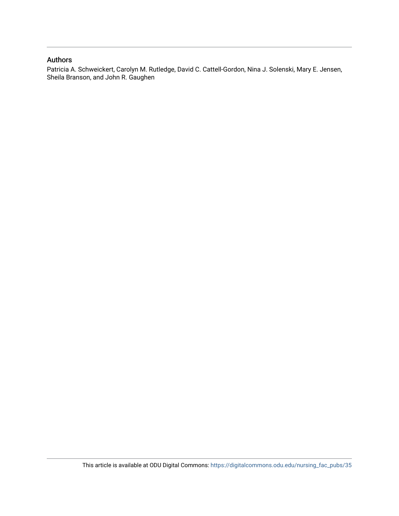## Authors

Patricia A. Schweickert, Carolyn M. Rutledge, David C. Cattell-Gordon, Nina J. Solenski, Mary E. Jensen, Sheila Branson, and John R. Gaughen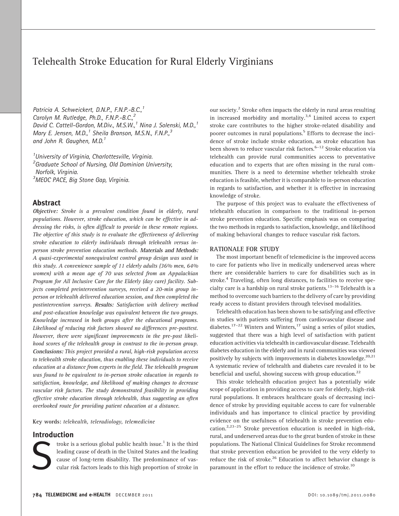# Telehealth Stroke Education for Rural Elderly Virginians

Patricia A. Schweickert, D.N.P., F.N.P.-B.C.,<sup>1</sup> Carolyn M. Rutledge, Ph.D., F.N.P.-B.C.,<sup>2</sup> David C. Cattell-Gordon, M.Div., M.S.W.,<sup>1</sup> Nina J. Solenski, M.D.,<sup>1</sup> Mary E. Jensen, M.D.,<sup>1</sup> Sheila Branson, M.S.N., F.N.P.,<sup>3</sup> and John R. Gaughen, M.D.<sup>1</sup>

<sup>1</sup> University of Virginia, Charlottesville, Virginia. <sup>2</sup> Graduate School of Nursing, Old Dominion University, Norfolk, Virginia.

<sup>3</sup>MEOC PACE, Big Stone Gap, Virginia.

### Abstract

Objective: Stroke is a prevalent condition found in elderly, rural populations. However, stroke education, which can be effective in addressing the risks, is often difficult to provide in these remote regions. The objective of this study is to evaluate the effectiveness of delivering stroke education to elderly individuals through telehealth versus inperson stroke prevention education methods. Materials and Methods: A quasi-experimental nonequivalent control group design was used in this study. A convenience sample of 11 elderly adults (36% men, 64% women) with a mean age of 70 was selected from an Appalachian Program for All Inclusive Care for the Elderly (day care) facility. Subjects completed preintervention surveys, received a 20-min group inperson or telehealth delivered education session, and then completed the postintervention surveys. Results: Satisfaction with delivery method and post-education knowledge was equivalent between the two groups. Knowledge increased in both groups after the educational programs. Likelihood of reducing risk factors showed no differences pre-posttest. However, there were significant improvements in the pre-post likelihood scores of the telehealth group in contrast to the in-person group. Conclusions: This project provided a rural, high-risk population access to telehealth stroke education, thus enabling these individuals to receive education at a distance from experts in the field. The telehealth program was found to be equivalent to in-person stroke education in regards to satisfaction, knowledge, and likelihood of making changes to decrease vascular risk factors. The study demonstrated feasibility in providing effective stroke education through telehealth, thus suggesting an often overlooked route for providing patient education at a distance.

Key words: telehealth, teleradiology, telemedicine

### Introduction

troke is a serious global public health issue.<sup>1</sup> It is the third leading cause of death in the United States and the leading cause of long-term disability. The predominance of vascular risk factors leads to this high proportion of stroke in

our society.<sup>2</sup> Stroke often impacts the elderly in rural areas resulting in increased morbidity and mortality. $3.4$  Limited access to expert stroke care contributes to the higher stroke-related disability and poorer outcomes in rural populations.<sup>5</sup> Efforts to decrease the incidence of stroke include stroke education, as stroke education has been shown to reduce vascular risk factors.<sup>6–12</sup> Stroke education via telehealth can provide rural communities access to preventative education and to experts that are often missing in the rural communities. There is a need to determine whether telehealth stroke education is feasible, whether it is comparable to in-person education in regards to satisfaction, and whether it is effective in increasing knowledge of stroke.

The purpose of this project was to evaluate the effectiveness of telehealth education in comparison to the traditional in-person stroke prevention education. Specific emphasis was on comparing the two methods in regards to satisfaction, knowledge, and likelihood of making behavioral changes to reduce vascular risk factors.

#### RATIONALE FOR STUDY

The most important benefit of telemedicine is the improved access to care for patients who live in medically underserved areas where there are considerable barriers to care for disabilities such as in stroke.<sup>4</sup> Traveling, often long distances, to facilities to receive specialty care is a hardship on rural stroke patients.<sup>13–16</sup> Telehealth is a method to overcome such barriers to the delivery of care by providing ready access to distant providers through televised modalities.

Telehealth education has been shown to be satisfying and effective in studies with patients suffering from cardiovascular disease and diabetes.<sup>17–22</sup> Winters and Winters,<sup>17</sup> using a series of pilot studies, suggested that there was a high level of satisfaction with patient education activities via telehealth in cardiovascular disease. Telehealth diabetes education in the elderly and in rural communities was viewed positively by subjects with improvements in diabetes knowledge. $^{20,21}$ A systematic review of telehealth and diabetes care revealed it to be beneficial and useful, showing success with group education. $^{22}$ 

This stroke telehealth education project has a potentially wide scope of application in providing access to care for elderly, high-risk rural populations. It embraces healthcare goals of decreasing incidence of stroke by providing equitable access to care for vulnerable individuals and has importance to clinical practice by providing evidence on the usefulness of telehealth in stroke prevention education.<sup>2,23-25</sup> Stroke prevention education is needed in high-risk, rural, and underserved areas due to the great burden of stroke in these populations. The National Clinical Guidelines for Stroke recommend that stroke prevention education be provided to the very elderly to reduce the risk of stroke.<sup>26</sup> Education to affect behavior change is paramount in the effort to reduce the incidence of stroke.<sup>10</sup>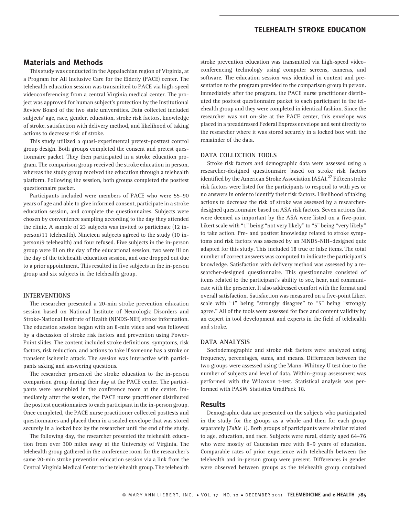# TELEHEALTH STROKE EDUCATION

### Materials and Methods

This study was conducted in the Appalachian region of Virginia, at a Program for All Inclusive Care for the Elderly (PACE) center. The telehealth education session was transmitted to PACE via high-speed videoconferencing from a central Virginia medical center. The project was approved for human subject's protection by the Institutional Review Board of the two state universities. Data collected included subjects' age, race, gender, education, stroke risk factors, knowledge of stroke, satisfaction with delivery method, and likelihood of taking actions to decrease risk of stroke.

This study utilized a quasi-experimental pretest–posttest control group design. Both groups completed the consent and pretest questionnaire packet. They then participated in a stroke education program. The comparison group received the stroke education in person, whereas the study group received the education through a telehealth platform. Following the session, both groups completed the posttest questionnaire packet.

Participants included were members of PACE who were 55–90 years of age and able to give informed consent, participate in a stroke education session, and complete the questionnaires. Subjects were chosen by convenience sampling according to the day they attended the clinic. A sample of 23 subjects was invited to participate (12 inperson/11 telehealth). Nineteen subjects agreed to the study (10 inperson/9 telehealth) and four refused. Five subjects in the in-person group were ill on the day of the educational session, two were ill on the day of the telehealth education session, and one dropped out due to a prior appointment. This resulted in five subjects in the in-person group and six subjects in the telehealth group.

#### INTERVENTIONS

The researcher presented a 20-min stroke prevention education session based on National Institute of Neurologic Disorders and Stroke-National Institute of Health (NINDS-NIH) stroke information. The education session began with an 8-min video and was followed by a discussion of stroke risk factors and prevention using Power-Point slides. The content included stroke definitions, symptoms, risk factors, risk reduction, and actions to take if someone has a stroke or transient ischemic attack. The session was interactive with participants asking and answering questions.

The researcher presented the stroke education to the in-person comparison group during their day at the PACE center. The participants were assembled in the conference room at the center. Immediately after the session, the PACE nurse practitioner distributed the posttest questionnaires to each participant in the in-person group. Once completed, the PACE nurse practitioner collected posttests and questionnaires and placed them in a sealed envelope that was stored securely in a locked box by the researcher until the end of the study.

The following day, the researcher presented the telehealth education from over 300 miles away at the University of Virginia. The telehealth group gathered in the conference room for the researcher's same 20-min stroke prevention education session via a link from the Central Virginia Medical Center to the telehealth group. The telehealth stroke prevention education was transmitted via high-speed videoconferencing technology using computer screens, cameras, and software. The education session was identical in content and presentation to the program provided to the comparison group in person. Immediately after the program, the PACE nurse practitioner distributed the posttest questionnaire packet to each participant in the telehealth group and they were completed in identical fashion. Since the researcher was not on-site at the PACE center, this envelope was placed in a preaddressed Federal Express envelope and sent directly to the researcher where it was stored securely in a locked box with the remainder of the data.

#### DATA COLLECTION TOOLS

Stroke risk factors and demographic data were assessed using a researcher-designed questionnaire based on stroke risk factors identified by the American Stroke Association (ASA).<sup>27</sup> Fifteen stroke risk factors were listed for the participants to respond to with yes or no answers in order to identify their risk factors. Likelihood of taking actions to decrease the risk of stroke was assessed by a researcherdesigned questionnaire based on ASA risk factors. Seven actions that were deemed as important by the ASA were listed on a five-point Likert scale with "1" being "not very likely" to "5" being "very likely" to take action. Pre- and posttest knowledge related to stroke symptoms and risk factors was assessed by an NINDS-NIH–designed quiz adapted for this study. This included 18 true or false items. The total number of correct answers was computed to indicate the participant's knowledge. Satisfaction with delivery method was assessed by a researcher-designed questionnaire. This questionnaire consisted of items related to the participant's ability to see, hear, and communicate with the presenter. It also addressed comfort with the format and overall satisfaction. Satisfaction was measured on a five-point Likert scale with "1" being "strongly disagree" to "5" being "strongly agree.'' All of the tools were assessed for face and content validity by an expert in tool development and experts in the field of telehealth and stroke.

#### DATA ANALYSIS

Sociodemographic and stroke risk factors were analyzed using frequency, percentages, sums, and means. Differences between the two groups were assessed using the Mann–Whitney U test due to the number of subjects and level of data. Within-group assessment was performed with the Wilcoxon t-test. Statistical analysis was performed with PASW Statistics GradPack 18.

### Results

Demographic data are presented on the subjects who participated in the study for the groups as a whole and then for each group separately (Table 1). Both groups of participants were similar related to age, education, and race. Subjects were rural, elderly aged 64–76 who were mostly of Caucasian race with 8–9 years of education. Comparable rates of prior experience with telehealth between the telehealth and in-person group were present. Differences in gender were observed between groups as the telehealth group contained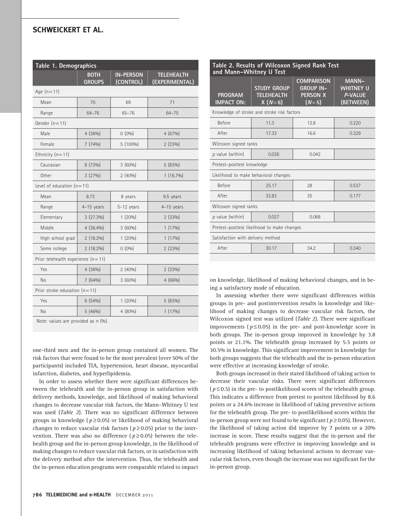# SCHWEICKERT ET AL.

| Table 1. Demographics                |                              |                               |                                     |  |  |
|--------------------------------------|------------------------------|-------------------------------|-------------------------------------|--|--|
|                                      | <b>BOTH</b><br><b>GROUPS</b> | <b>IN-PERSON</b><br>(CONTROL) | <b>TELEHEALTH</b><br>(EXPERIMENTAL) |  |  |
| Age $(n = 11)$                       |                              |                               |                                     |  |  |
| Mean                                 | 70                           | 69                            | 71                                  |  |  |
| Range                                | $64 - 76$                    | $65 - 76$                     | $64 - 75$                           |  |  |
| Gender $(n=11)$                      |                              |                               |                                     |  |  |
| Male                                 | 4(36%)                       | $0(0\%)$                      | 4 (67%)                             |  |  |
| Female                               | 7(74%)                       | $5(100\%)$                    | 2(33%)                              |  |  |
| Ethnicity $(n=11)$                   |                              |                               |                                     |  |  |
| Caucasian                            | 8 (73%)                      | 3(60%)                        | 5 (83%)                             |  |  |
| Other                                | 3(27%)                       | 2(40%)                        | $1(16.7\%)$                         |  |  |
| Level of education $(n=11)$          |                              |                               |                                     |  |  |
| Mean                                 | 8.73                         | 8 years                       | 9.5 years                           |  |  |
| Range                                | $4-15$ years                 | $5-12$ years                  | $4-15$ years                        |  |  |
| Elementary                           | $3(27.3\%)$                  | 1(20%)                        | 2 (33%)                             |  |  |
| Middle                               | $4(36.4\%)$                  | 3(60%)                        | $1(17\%)$                           |  |  |
| High school grad                     | $2(18.2\%)$                  | 1(20%)                        | $1(17\%)$                           |  |  |
| Some college                         | $2(18.2\%)$                  | $0(0\%)$                      | 2 (33%)                             |  |  |
| Prior telehealth experience $(n=11)$ |                              |                               |                                     |  |  |
| Yes                                  | 4(36%)                       | 2(40%)                        | 2(33%)                              |  |  |
| No                                   | 7(64%)                       | 3(60%)                        | 4(66%)                              |  |  |
| Prior stroke education $(n=11)$      |                              |                               |                                     |  |  |
| Yes                                  | 6(54%)                       | 1(20%)                        | 5 (83%)                             |  |  |
| No                                   | 5(46%)                       | 4 (80%)                       | $1(17\%)$                           |  |  |
| Note: values are provided as n (%).  |                              |                               |                                     |  |  |

one-third men and the in-person group contained all women. The risk factors that were found to be the most prevalent (over 50% of the participants) included TIA, hypertension, heart disease, myocardial infarction, diabetes, and hyperlipidemia.

In order to assess whether there were significant differences between the telehealth and the in-person group in satisfaction with delivery methods, knowledge, and likelihood of making behavioral changes to decrease vascular risk factors, the Mann–Whitney U test was used (Table 2). There was no significant difference between groups in knowledge ( $p \ge 0.05$ ) or likelihood of making behavioral changes to reduce vascular risk factors ( $p \ge 0.05$ ) prior to the intervention. There was also no difference ( $p \ge 0.05$ ) between the telehealth group and the in-person group knowledge, in the likelihood of making changes to reduce vascular risk factors, or in satisfaction with the delivery method after the intervention. Thus, the telehealth and the in-person education programs were comparable related to impact

| Table 2. Results of Wilcoxon Signed Rank Test<br>and Mann-Whitney U Test |                                                     |                                                                     |                                                          |  |  |
|--------------------------------------------------------------------------|-----------------------------------------------------|---------------------------------------------------------------------|----------------------------------------------------------|--|--|
| <b>PROGRAM</b><br><b>IMPACT ON:</b>                                      | <b>STUDY GROUP</b><br><b>TELEHEALTH</b><br>$X(N=6)$ | <b>COMPARISON</b><br><b>GROUP IN-</b><br><b>PERSON X</b><br>$(N=5)$ | <b>MANN-</b><br><b>WHITNEY U</b><br>P-VALUE<br>(BETWEEN) |  |  |
| Knowledge of stroke and stroke risk factors                              |                                                     |                                                                     |                                                          |  |  |
| Before                                                                   | 11.3                                                | 12.8                                                                | 0.220                                                    |  |  |
| After                                                                    | 17.33                                               | 16.6                                                                | 0.329                                                    |  |  |
| Wilcoxon signed ranks                                                    |                                                     |                                                                     |                                                          |  |  |
| p value (within)                                                         | 0.026                                               | 0.042                                                               |                                                          |  |  |
| Pretest-posttest knowledge                                               |                                                     |                                                                     |                                                          |  |  |
| Likelihood to make behavioral changes                                    |                                                     |                                                                     |                                                          |  |  |
| <b>Before</b>                                                            | 25.17                                               | 28                                                                  | 0.537                                                    |  |  |
| After                                                                    | 33.83                                               | 35                                                                  | 0.177                                                    |  |  |
| Wilcoxon signed ranks                                                    |                                                     |                                                                     |                                                          |  |  |
| p value (within)                                                         | 0.027                                               | 0.068                                                               |                                                          |  |  |
| Pretest-posttest likelihood to make changes                              |                                                     |                                                                     |                                                          |  |  |
| Satisfaction with delivery method                                        |                                                     |                                                                     |                                                          |  |  |
| After                                                                    | 30.17                                               | 34.2                                                                | 0.340                                                    |  |  |
|                                                                          |                                                     |                                                                     |                                                          |  |  |

on knowledge, likelihood of making behavioral changes, and in being a satisfactory mode of education.

In assessing whether there were significant differences within groups in pre- and postintervention results in knowledge and likelihood of making changes to decrease vascular risk factors, the Wilcoxon signed test was utilized (Table 2). There were significant improvements ( $p \le 0.05$ ) in the pre- and post-knowledge score in both groups. The in-person group improved in knowledge by 3.8 points or 21.1%. The telehealth group increased by 5.5 points or 30.5% in knowledge. This significant improvement in knowledge for both groups suggests that the telehealth and the in-person education were effective at increasing knowledge of stroke.

Both groups increased in their stated likelihood of taking action to decrease their vascular risks. There were significant differences ( $p \le 0.5$ ) in the pre- to postlikelihood scores of the telehealth group. This indicates a difference from pretest to posttest likelihood by 8.6 points or a 24.6% increase in likelihood of taking preventive actions for the telehealth group. The pre- to postlikelihood scores within the in-person group were not found to be significant ( $p \ge 0.05$ ). However, the likelihood of taking action did improve by 7 points or a 20% increase in score. These results suggest that the in-person and the telehealth programs were effective in improving knowledge and in increasing likelihood of taking behavioral actions to decrease vascular risk factors, even though the increase was not significant for the in-person group.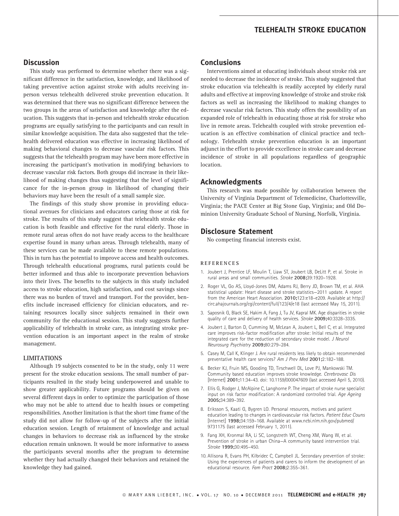# TELEHEALTH STROKE EDUCATION

### **Discussion**

This study was performed to determine whether there was a significant difference in the satisfaction, knowledge, and likelihood of taking preventive action against stroke with adults receiving inperson versus telehealth delivered stroke prevention education. It was determined that there was no significant difference between the two groups in the areas of satisfaction and knowledge after the education. This suggests that in-person and telehealth stroke education programs are equally satisfying to the participants and can result in similar knowledge acquisition. The data also suggested that the telehealth delivered education was effective in increasing likelihood of making behavioral changes to decrease vascular risk factors. This suggests that the telehealth program may have been more effective in increasing the participant's motivation in modifying behaviors to decrease vascular risk factors. Both groups did increase in their likelihood of making changes thus suggesting that the level of significance for the in-person group in likelihood of changing their behaviors may have been the result of a small sample size.

The findings of this study show promise in providing educational avenues for clinicians and educators caring those at risk for stroke. The results of this study suggest that telehealth stroke education is both feasible and effective for the rural elderly. Those in remote rural areas often do not have ready access to the healthcare expertise found in many urban areas. Through telehealth, many of these services can be made available to these remote populations. This in turn has the potential to improve access and health outcomes. Through telehealth educational programs, rural patients could be better informed and thus able to incorporate prevention behaviors into their lives. The benefits to the subjects in this study included access to stroke education, high satisfaction, and cost savings since there was no burden of travel and transport. For the provider, benefits include increased efficiency for clinician educators, and retaining resources locally since subjects remained in their own community for the educational session. This study suggests further applicability of telehealth in stroke care, as integrating stroke prevention education is an important aspect in the realm of stroke management.

#### LIMITATIONS

Although 19 subjects consented to be in the study, only 11 were present for the stroke education sessions. The small number of participants resulted in the study being underpowered and unable to show greater applicability. Future programs should be given on several different days in order to optimize the participation of those who may not be able to attend due to health issues or competing responsibilities. Another limitation is that the short time frame of the study did not allow for follow-up of the subjects after the initial education session. Length of retainment of knowledge and actual changes in behaviors to decrease risk as influenced by the stroke education remain unknown. It would be more informative to assess the participants several months after the program to determine whether they had actually changed their behaviors and retained the knowledge they had gained.

# **Conclusions**

Interventions aimed at educating individuals about stroke risk are needed to decrease the incidence of stroke. This study suggested that stroke education via telehealth is readily accepted by elderly rural adults and effective at improving knowledge of stroke and stroke risk factors as well as increasing the likelihood to making changes to decrease vascular risk factors. This study offers the possibility of an expanded role of telehealth in educating those at risk for stroke who live in remote areas. Telehealth coupled with stroke prevention education is an effective combination of clinical practice and technology. Telehealth stroke prevention education is an important adjunct in the effort to provide excellence in stroke care and decrease incidence of stroke in all populations regardless of geographic location.

### Acknowledgments

This research was made possible by collaboration between the University of Virginia Department of Telemedicine, Charlottesville, Virginia; the PACE Center at Big Stone Gap, Virginia; and Old Dominion University Graduate School of Nursing, Norfolk, Virginia.

### Disclosure Statement

No competing financial interests exist.

#### REFERENCES

- 1. Joubert J, Prentice LF, Moulin T, Liaw ST, Joubert LB, DeLitt P, et al. Stroke in rural areas and small communities. Stroke 2008;39:1920–1928.
- 2. Roger VL, Go AS, Lloyd-Jones DM, Adams RJ, Berry JD, Brown TM, et al. AHA statistical update: Heart disease and stroke statistics—2011 update. A report from the American Heart Association. 2010;123:e18–e209. Available at http:// circ.ahajournals.org/cgi/content/full/123/4/e18 (last accessed May 15, 2011).
- 3. Saposnik G, Black SE, Hakim A, Fang J, Tu JV, Kapral MK. Age disparities in stroke quality of care and delivery of health services. Stroke 2009;40:3328–3335.
- 4. Joubert J, Barton D, Cumming M, McLean A, Joubert L, Bell C, et al. Integrated care improves risk-factor modification after stroke: Initial results of the integrated care for the reduction of secondary stroke model. J Neurol Neurosurg Psychiatry 2009;80:279–284.
- 5. Casey M, Call K, Klinger J. Are rural residents less likely to obtain recommended preventative health care services? Am J Prev Med 2001;2:182–188.
- 6. Becker KJ, Fruin MS, Gooding TD, Tirschwell DL, Love PJ, Mankowski TM. Community based education improves stroke knowledge. Cerebrovasc Dis [Internet] 2001;11:34–43. doi: 10.1159/000047609 (last accessed April 5, 2010).
- 7. Ellis G, Rodger J, McAlpine C, Langhorne P. The impact of stroke nurse specialist input on risk factor modification: A randomized controlled trial. Age Ageing 2005;34:389–392.
- 8. Eriksson S, Kaati G, Bygren LO. Personal resources, motives and patient education leading to changes in cardiovascular risk factors. Patient Educ Couns [Internet] 1998;34:159–168. Available at www.ncbi.nlm.nih.gov/pubmed/ 9731175 (last accessed February 1, 2011).
- 9. Fang XH, Kronmal RA, Li SC, Longstreth WT, Cheng XM, Wang W, et al. Prevention of stroke in urban China—A community based intervention trial. Stroke 1999;30:495–450.
- 10. Allisona R, Evans PH, Kilbridec C, Campbell JL. Secondary prevention of stroke: Using the experiences of patients and carers to inform the development of an educational resource. Fam Pract 2008;2:355–361.